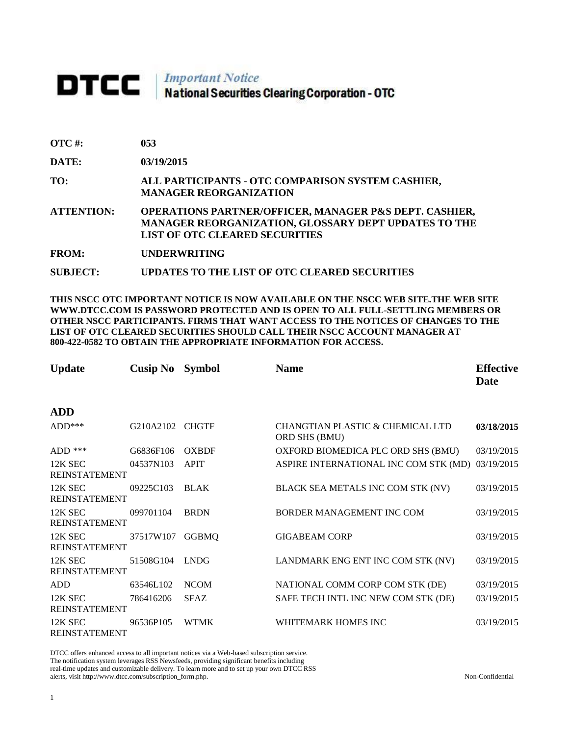## DTCC | Important Notice<br>National Securities Clearing Corporation - OTC

| <b>OTC</b> #: | 053 |
|---------------|-----|
|               |     |

**DATE: 03/19/2015**

**TO: ALL PARTICIPANTS - OTC COMPARISON SYSTEM CASHIER, MANAGER REORGANIZATION** 

**ATTENTION: OPERATIONS PARTNER/OFFICER, MANAGER P&S DEPT. CASHIER, MANAGER REORGANIZATION, GLOSSARY DEPT UPDATES TO THE LIST OF OTC CLEARED SECURITIES** 

**FROM: UNDERWRITING**

**SUBJECT: UPDATES TO THE LIST OF OTC CLEARED SECURITIES**

**THIS NSCC OTC IMPORTANT NOTICE IS NOW AVAILABLE ON THE NSCC WEB SITE.THE WEB SITE WWW.DTCC.COM IS PASSWORD PROTECTED AND IS OPEN TO ALL FULL-SETTLING MEMBERS OR OTHER NSCC PARTICIPANTS. FIRMS THAT WANT ACCESS TO THE NOTICES OF CHANGES TO THE LIST OF OTC CLEARED SECURITIES SHOULD CALL THEIR NSCC ACCOUNT MANAGER AT 800-422-0582 TO OBTAIN THE APPROPRIATE INFORMATION FOR ACCESS.** 

| <b>Update</b>                   | <b>Cusip No</b> | <b>Symbol</b> | <b>Name</b>                                       | <b>Effective</b><br><b>Date</b> |
|---------------------------------|-----------------|---------------|---------------------------------------------------|---------------------------------|
| <b>ADD</b>                      |                 |               |                                                   |                                 |
| $ADD***$                        | G210A2102       | <b>CHGTF</b>  | CHANGTIAN PLASTIC & CHEMICAL LTD<br>ORD SHS (BMU) | 03/18/2015                      |
| $ADD$ ***                       | G6836F106       | <b>OXBDF</b>  | OXFORD BIOMEDICA PLC ORD SHS (BMU)                | 03/19/2015                      |
| 12K SEC<br><b>REINSTATEMENT</b> | 04537N103       | <b>APIT</b>   | ASPIRE INTERNATIONAL INC COM STK (MD)             | 03/19/2015                      |
| 12K SEC<br><b>REINSTATEMENT</b> | 09225C103       | <b>BLAK</b>   | BLACK SEA METALS INC COM STK (NV)                 | 03/19/2015                      |
| 12K SEC<br><b>REINSTATEMENT</b> | 099701104       | <b>BRDN</b>   | BORDER MANAGEMENT INC COM                         | 03/19/2015                      |
| 12K SEC<br><b>REINSTATEMENT</b> | 37517W107       | <b>GGBMQ</b>  | <b>GIGABEAM CORP</b>                              | 03/19/2015                      |
| 12K SEC<br><b>REINSTATEMENT</b> | 51508G104       | <b>LNDG</b>   | LANDMARK ENG ENT INC COM STK (NV)                 | 03/19/2015                      |
| ADD                             | 63546L102       | <b>NCOM</b>   | NATIONAL COMM CORP COM STK (DE)                   | 03/19/2015                      |
| 12K SEC<br><b>REINSTATEMENT</b> | 786416206       | <b>SFAZ</b>   | SAFE TECH INTL INC NEW COM STK (DE)               | 03/19/2015                      |
| 12K SEC<br><b>REINSTATEMENT</b> | 96536P105       | <b>WTMK</b>   | WHITEMARK HOMES INC                               | 03/19/2015                      |

DTCC offers enhanced access to all important notices via a Web-based subscription service. The notification system leverages RSS Newsfeeds, providing significant benefits including real-time updates and customizable delivery. To learn more and to set up your own DTCC RSS alerts, visit http://www.dtcc.com/subscription\_form.php. Non-Confidential